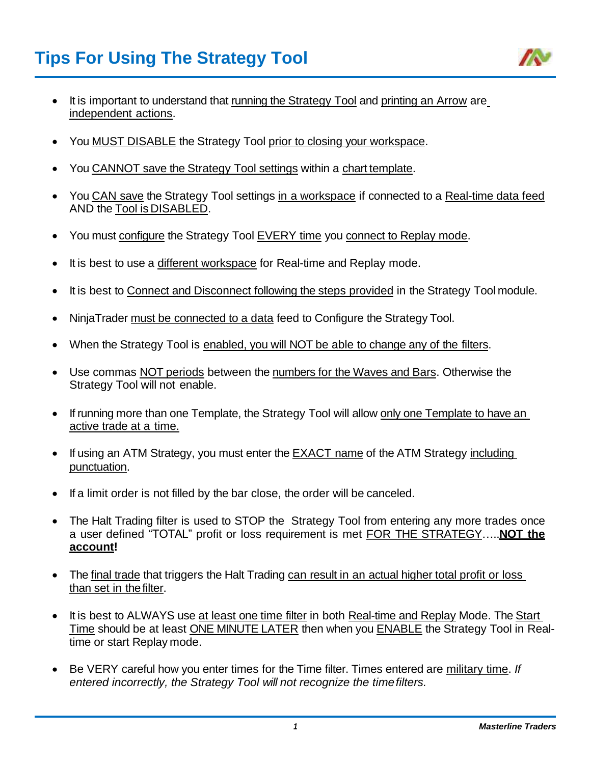

- It is important to understand that running the Strategy Tool and printing an Arrow are independent actions.
- You MUST DISABLE the Strategy Tool prior to closing your workspace.
- You CANNOT save the Strategy Tool settings within a chart template.
- You CAN save the Strategy Tool settings in a workspace if connected to a Real-time data feed AND the Tool is DISABLED.
- You must configure the Strategy Tool EVERY time you connect to Replay mode.
- It is best to use a different workspace for Real-time and Replay mode.
- It is best to Connect and Disconnect following the steps provided in the Strategy Tool module.
- NinjaTrader must be connected to a data feed to Configure the Strategy Tool.
- When the Strategy Tool is enabled, you will NOT be able to change any of the filters.
- Use commas NOT periods between the numbers for the Waves and Bars. Otherwise the Strategy Tool will not enable.
- If running more than one Template, the Strategy Tool will allow only one Template to have an active trade at a time.
- If using an ATM Strategy, you must enter the EXACT name of the ATM Strategy including punctuation.
- If a limit order is not filled by the bar close, the order will be canceled.
- The Halt Trading filter is used to STOP the Strategy Tool from entering any more trades once a user defined "TOTAL" profit or loss requirement is met FOR THE STRATEGY…..**NOT the account!**
- The final trade that triggers the Halt Trading can result in an actual higher total profit or loss than set in the filter.
- It is best to ALWAYS use at least one time filter in both Real-time and Replay Mode. The Start Time should be at least ONE MINUTE LATER then when you ENABLE the Strategy Tool in Realtime or start Replay mode.
- Be VERY careful how you enter times for the Time filter. Times entered are military time. *If entered incorrectly, the Strategy Tool will not recognize the timefilters.*